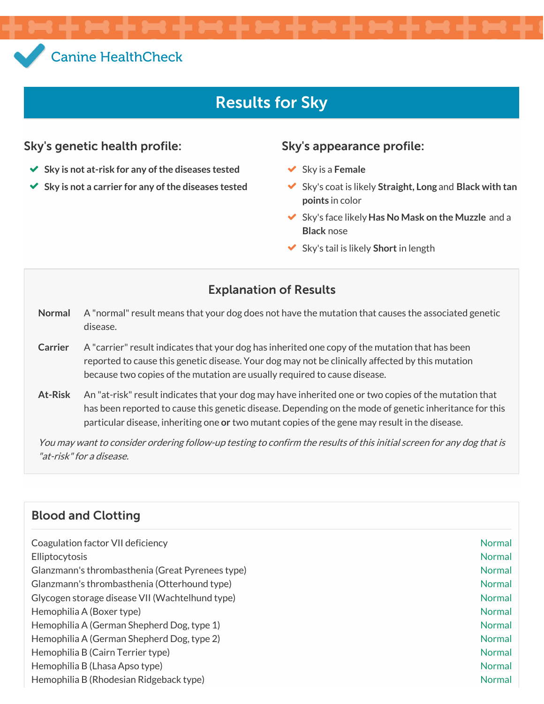# Canine [HealthCheck](/)

# Results for Sky

#### Sky's genetic health profile: Sky's appearance profile:

- **Sky is not at-risk for any of the diseases tested**
- **Sky is not a carrier for any of the diseases tested**

- Sky is a **Female**
- Sky's coat is likely **Straight, Long** and **Black with tan points** in color
- Sky's face likely **Has No Mask on the Muzzle** and a **Black** nose
- Sky's tail is likely **Short** in length

### Explanation of Results

- **Normal** A "normal" result means that your dog does not have the mutation that causes the associated genetic disease.
- Carrier A "carrier" result indicates that your dog has inherited one copy of the mutation that has been reported to cause this genetic disease. Your dog may not be clinically affected by this mutation because two copies of the mutation are usually required to cause disease.
- **At-Risk** An "at-risk" result indicates that your dog may have inherited one or two copies of the mutation that has been reported to cause this genetic disease. Depending on the mode of genetic inheritance for this particular disease, inheriting one **or** two mutant copies of the gene may result in the disease.

You may want to consider ordering follow-up testing to confirm the results of this initial screen for any dog that is "at-risk"for a disease.

#### Blood and Clotting

| Coagulation factor VII deficiency                | Normal        |
|--------------------------------------------------|---------------|
| Elliptocytosis                                   | Normal        |
| Glanzmann's thrombasthenia (Great Pyrenees type) | Normal        |
| Glanzmann's thrombasthenia (Otterhound type)     | <b>Normal</b> |
| Glycogen storage disease VII (Wachtelhund type)  | Normal        |
| Hemophilia A (Boxer type)                        | Normal        |
| Hemophilia A (German Shepherd Dog, type 1)       | Normal        |
| Hemophilia A (German Shepherd Dog, type 2)       | Normal        |
| Hemophilia B (Cairn Terrier type)                | Normal        |
| Hemophilia B (Lhasa Apso type)                   | <b>Normal</b> |
| Hemophilia B (Rhodesian Ridgeback type)          | <b>Normal</b> |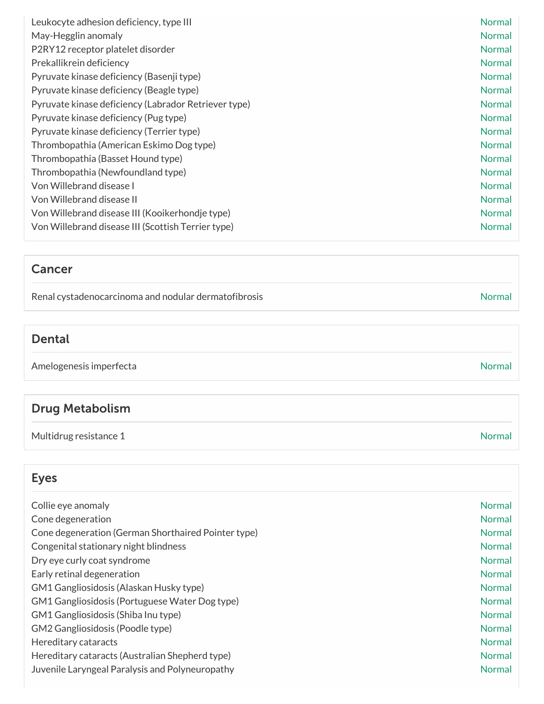| Leukocyte adhesion deficiency, type III              | Normal        |
|------------------------------------------------------|---------------|
| May-Hegglin anomaly                                  | Normal        |
| P2RY12 receptor platelet disorder                    | <b>Normal</b> |
| Prekallikrein deficiency                             | Normal        |
| Pyruvate kinase deficiency (Basenji type)            | Normal        |
| Pyruvate kinase deficiency (Beagle type)             | Normal        |
| Pyruvate kinase deficiency (Labrador Retriever type) | <b>Normal</b> |
| Pyruvate kinase deficiency (Pug type)                | <b>Normal</b> |
| Pyruvate kinase deficiency (Terrier type)            | <b>Normal</b> |
| Thrombopathia (American Eskimo Dog type)             | <b>Normal</b> |
| Thrombopathia (Basset Hound type)                    | Normal        |
| Thrombopathia (Newfoundland type)                    | Normal        |
| Von Willebrand disease I                             | <b>Normal</b> |
| Von Willebrand disease II                            | <b>Normal</b> |
| Von Willebrand disease III (Kooikerhondje type)      | <b>Normal</b> |
| Von Willebrand disease III (Scottish Terrier type)   | <b>Normal</b> |

#### Cancer

Renal cystadenocarcinoma and nodular dermatofibrosis Normal and  $N$ ormal

#### Dental

Amelogenesis imperfecta and a state of the state of the state of the state of the Normal Normal

## Drug Metabolism

Multidrug resistance 1 and 1 Normal number of the United States of the United States of the Normal Normal number of the United States of the United States of the United States of the United States of the United States of t

## Eyes

| Collie eye anomaly                                  | Normal        |
|-----------------------------------------------------|---------------|
| Cone degeneration                                   | <b>Normal</b> |
| Cone degeneration (German Shorthaired Pointer type) | <b>Normal</b> |
| Congenital stationary night blindness               | <b>Normal</b> |
| Dry eye curly coat syndrome                         | <b>Normal</b> |
| Early retinal degeneration                          | <b>Normal</b> |
| GM1 Gangliosidosis (Alaskan Husky type)             | <b>Normal</b> |
| GM1 Gangliosidosis (Portuguese Water Dog type)      | <b>Normal</b> |
| GM1 Gangliosidosis (Shiba Inu type)                 | <b>Normal</b> |
| GM2 Gangliosidosis (Poodle type)                    | <b>Normal</b> |
| Hereditary cataracts                                | <b>Normal</b> |
| Hereditary cataracts (Australian Shepherd type)     | <b>Normal</b> |
| Juvenile Laryngeal Paralysis and Polyneuropathy     | <b>Normal</b> |
|                                                     |               |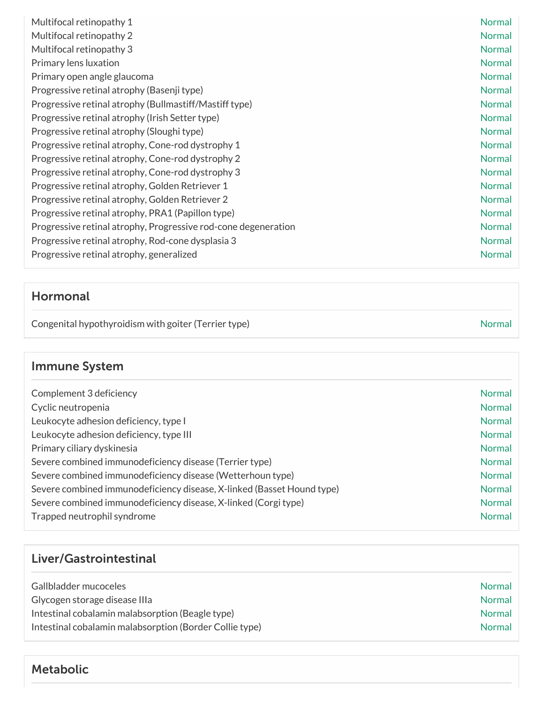| Multifocal retinopathy 1                                       | <b>Normal</b> |
|----------------------------------------------------------------|---------------|
| Multifocal retinopathy 2                                       | Normal        |
| Multifocal retinopathy 3                                       | Normal        |
| Primary lens luxation                                          | Normal        |
| Primary open angle glaucoma                                    | Normal        |
| Progressive retinal atrophy (Basenji type)                     | <b>Normal</b> |
| Progressive retinal atrophy (Bullmastiff/Mastiff type)         | <b>Normal</b> |
| Progressive retinal atrophy (Irish Setter type)                | <b>Normal</b> |
| Progressive retinal atrophy (Sloughi type)                     | <b>Normal</b> |
| Progressive retinal atrophy, Cone-rod dystrophy 1              | <b>Normal</b> |
| Progressive retinal atrophy, Cone-rod dystrophy 2              | Normal        |
| Progressive retinal atrophy, Cone-rod dystrophy 3              | Normal        |
| Progressive retinal atrophy, Golden Retriever 1                | Normal        |
| Progressive retinal atrophy, Golden Retriever 2                | <b>Normal</b> |
| Progressive retinal atrophy, PRA1 (Papillon type)              | <b>Normal</b> |
| Progressive retinal atrophy, Progressive rod-cone degeneration | Normal        |
| Progressive retinal atrophy, Rod-cone dysplasia 3              | Normal        |
| Progressive retinal atrophy, generalized                       | Normal        |

#### Hormonal

Congenital hypothyroidism with goiter (Terrier type) Normal Normal

## Immune System

| Complement 3 deficiency                                                | <b>Normal</b> |
|------------------------------------------------------------------------|---------------|
| Cyclic neutropenia                                                     | <b>Normal</b> |
| Leukocyte adhesion deficiency, type I                                  | Normal        |
| Leukocyte adhesion deficiency, type III                                | <b>Normal</b> |
| Primary ciliary dyskinesia                                             | <b>Normal</b> |
| Severe combined immunodeficiency disease (Terrier type)                | <b>Normal</b> |
| Severe combined immunodeficiency disease (Wetterhoun type)             | <b>Normal</b> |
| Severe combined immunodeficiency disease, X-linked (Basset Hound type) | <b>Normal</b> |
| Severe combined immunodeficiency disease, X-linked (Corgi type)        | <b>Normal</b> |
| Trapped neutrophil syndrome                                            | <b>Normal</b> |

## Liver/Gastrointestinal

| Gallbladder mucoceles                                   | <b>Normal</b> |
|---------------------------------------------------------|---------------|
| Glycogen storage disease IIIa                           | <b>Normal</b> |
| Intestinal cobalamin malabsorption (Beagle type)        | <b>Normal</b> |
| Intestinal cobalamin malabsorption (Border Collie type) | <b>Normal</b> |

#### Metabolic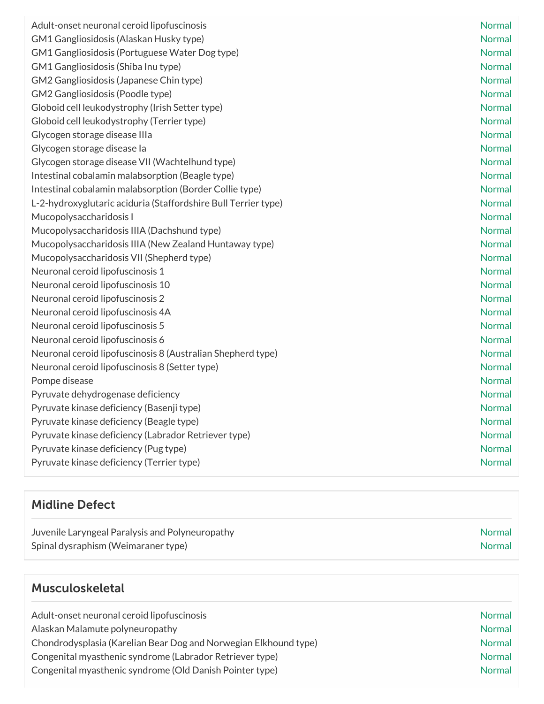| Adult-onset neuronal ceroid lipofuscinosis                     | <b>Normal</b> |
|----------------------------------------------------------------|---------------|
| GM1 Gangliosidosis (Alaskan Husky type)                        | <b>Normal</b> |
| GM1 Gangliosidosis (Portuguese Water Dog type)                 | <b>Normal</b> |
| GM1 Gangliosidosis (Shiba Inu type)                            | Normal        |
| GM2 Gangliosidosis (Japanese Chin type)                        | Normal        |
| GM2 Gangliosidosis (Poodle type)                               | <b>Normal</b> |
| Globoid cell leukodystrophy (Irish Setter type)                | <b>Normal</b> |
| Globoid cell leukodystrophy (Terrier type)                     | <b>Normal</b> |
| Glycogen storage disease IIIa                                  | <b>Normal</b> |
| Glycogen storage disease la                                    | <b>Normal</b> |
| Glycogen storage disease VII (Wachtelhund type)                | <b>Normal</b> |
| Intestinal cobalamin malabsorption (Beagle type)               | <b>Normal</b> |
| Intestinal cobalamin malabsorption (Border Collie type)        | Normal        |
| L-2-hydroxyglutaric aciduria (Staffordshire Bull Terrier type) | <b>Normal</b> |
| Mucopolysaccharidosis I                                        | <b>Normal</b> |
| Mucopolysaccharidosis IIIA (Dachshund type)                    | <b>Normal</b> |
| Mucopolysaccharidosis IIIA (New Zealand Huntaway type)         | <b>Normal</b> |
| Mucopolysaccharidosis VII (Shepherd type)                      | <b>Normal</b> |
| Neuronal ceroid lipofuscinosis 1                               | <b>Normal</b> |
| Neuronal ceroid lipofuscinosis 10                              | <b>Normal</b> |
| Neuronal ceroid lipofuscinosis 2                               | <b>Normal</b> |
| Neuronal ceroid lipofuscinosis 4A                              | <b>Normal</b> |
| Neuronal ceroid lipofuscinosis 5                               | <b>Normal</b> |
| Neuronal ceroid lipofuscinosis 6                               | <b>Normal</b> |
| Neuronal ceroid lipofuscinosis 8 (Australian Shepherd type)    | <b>Normal</b> |
| Neuronal ceroid lipofuscinosis 8 (Setter type)                 | <b>Normal</b> |
| Pompe disease                                                  | <b>Normal</b> |
| Pyruvate dehydrogenase deficiency                              | <b>Normal</b> |
| Pyruvate kinase deficiency (Basenji type)                      | <b>Normal</b> |
| Pyruvate kinase deficiency (Beagle type)                       | Normal        |
| Pyruvate kinase deficiency (Labrador Retriever type)           | Normal        |
| Pyruvate kinase deficiency (Pug type)                          | <b>Normal</b> |
| Pyruvate kinase deficiency (Terrier type)                      | <b>Normal</b> |

## Midline Defect

| Juvenile Laryngeal Paralysis and Polyneuropathy | Normal |
|-------------------------------------------------|--------|
| Spinal dysraphism (Weimaraner type)             | Normal |

## Musculoskeletal

| Adult-onset neuronal ceroid lipofuscinosis                       | <b>Normal</b> |
|------------------------------------------------------------------|---------------|
| Alaskan Malamute polyneuropathy                                  | <b>Normal</b> |
| Chondrodysplasia (Karelian Bear Dog and Norwegian Elkhound type) | <b>Normal</b> |
| Congenital myasthenic syndrome (Labrador Retriever type)         | <b>Normal</b> |
| Congenital myasthenic syndrome (Old Danish Pointer type)         | <b>Normal</b> |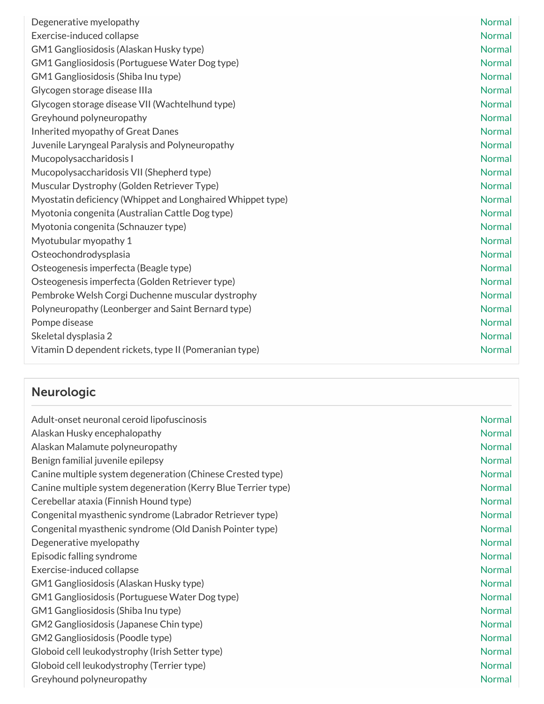| Degenerative myelopathy                                    | Normal        |
|------------------------------------------------------------|---------------|
| Exercise-induced collapse                                  | <b>Normal</b> |
| GM1 Gangliosidosis (Alaskan Husky type)                    | <b>Normal</b> |
| GM1 Gangliosidosis (Portuguese Water Dog type)             | <b>Normal</b> |
| GM1 Gangliosidosis (Shiba Inu type)                        | <b>Normal</b> |
| Glycogen storage disease IIIa                              | <b>Normal</b> |
| Glycogen storage disease VII (Wachtelhund type)            | <b>Normal</b> |
| Greyhound polyneuropathy                                   | <b>Normal</b> |
| Inherited myopathy of Great Danes                          | <b>Normal</b> |
| Juvenile Laryngeal Paralysis and Polyneuropathy            | <b>Normal</b> |
| Mucopolysaccharidosis I                                    | <b>Normal</b> |
| Mucopolysaccharidosis VII (Shepherd type)                  | <b>Normal</b> |
| Muscular Dystrophy (Golden Retriever Type)                 | <b>Normal</b> |
| Myostatin deficiency (Whippet and Longhaired Whippet type) | <b>Normal</b> |
| Myotonia congenita (Australian Cattle Dog type)            | <b>Normal</b> |
| Myotonia congenita (Schnauzer type)                        | <b>Normal</b> |
| Myotubular myopathy 1                                      | <b>Normal</b> |
| Osteochondrodysplasia                                      | <b>Normal</b> |
| Osteogenesis imperfecta (Beagle type)                      | <b>Normal</b> |
| Osteogenesis imperfecta (Golden Retriever type)            | <b>Normal</b> |
| Pembroke Welsh Corgi Duchenne muscular dystrophy           | <b>Normal</b> |
| Polyneuropathy (Leonberger and Saint Bernard type)         | <b>Normal</b> |
| Pompe disease                                              | <b>Normal</b> |
| Skeletal dysplasia 2                                       | <b>Normal</b> |
| Vitamin D dependent rickets, type II (Pomeranian type)     | <b>Normal</b> |

# Neurologic

| Adult-onset neuronal ceroid lipofuscinosis                    | <b>Normal</b> |
|---------------------------------------------------------------|---------------|
| Alaskan Husky encephalopathy                                  | <b>Normal</b> |
| Alaskan Malamute polyneuropathy                               | <b>Normal</b> |
| Benign familial juvenile epilepsy                             | <b>Normal</b> |
| Canine multiple system degeneration (Chinese Crested type)    | <b>Normal</b> |
| Canine multiple system degeneration (Kerry Blue Terrier type) | <b>Normal</b> |
| Cerebellar ataxia (Finnish Hound type)                        | <b>Normal</b> |
| Congenital myasthenic syndrome (Labrador Retriever type)      | <b>Normal</b> |
| Congenital myasthenic syndrome (Old Danish Pointer type)      | <b>Normal</b> |
| Degenerative myelopathy                                       | <b>Normal</b> |
| Episodic falling syndrome                                     | <b>Normal</b> |
| Exercise-induced collapse                                     | <b>Normal</b> |
| GM1 Gangliosidosis (Alaskan Husky type)                       | <b>Normal</b> |
| GM1 Gangliosidosis (Portuguese Water Dog type)                | <b>Normal</b> |
| GM1 Gangliosidosis (Shiba Inu type)                           | <b>Normal</b> |
| GM2 Gangliosidosis (Japanese Chin type)                       | <b>Normal</b> |
| GM2 Gangliosidosis (Poodle type)                              | <b>Normal</b> |
| Globoid cell leukodystrophy (Irish Setter type)               | <b>Normal</b> |
| Globoid cell leukodystrophy (Terrier type)                    | <b>Normal</b> |
| Greyhound polyneuropathy                                      | <b>Normal</b> |
|                                                               |               |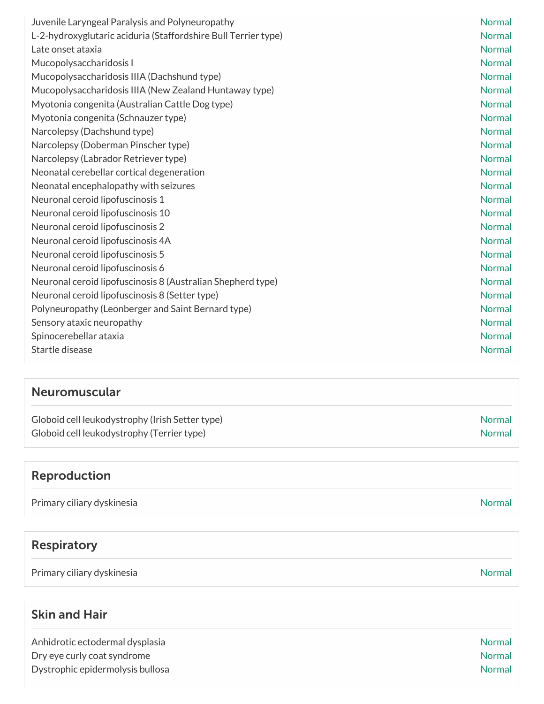| Juvenile Laryngeal Paralysis and Polyneuropathy                | <b>Normal</b> |
|----------------------------------------------------------------|---------------|
| L-2-hydroxyglutaric aciduria (Staffordshire Bull Terrier type) | <b>Normal</b> |
| Late onset ataxia                                              | <b>Normal</b> |
| Mucopolysaccharidosis I                                        | <b>Normal</b> |
| Mucopolysaccharidosis IIIA (Dachshund type)                    | <b>Normal</b> |
| Mucopolysaccharidosis IIIA (New Zealand Huntaway type)         | <b>Normal</b> |
| Myotonia congenita (Australian Cattle Dog type)                | <b>Normal</b> |
| Myotonia congenita (Schnauzer type)                            | <b>Normal</b> |
| Narcolepsy (Dachshund type)                                    | <b>Normal</b> |
| Narcolepsy (Doberman Pinscher type)                            | <b>Normal</b> |
| Narcolepsy (Labrador Retriever type)                           | <b>Normal</b> |
| Neonatal cerebellar cortical degeneration                      | <b>Normal</b> |
| Neonatal encephalopathy with seizures                          | <b>Normal</b> |
| Neuronal ceroid lipofuscinosis 1                               | <b>Normal</b> |
| Neuronal ceroid lipofuscinosis 10                              | <b>Normal</b> |
| Neuronal ceroid lipofuscinosis 2                               | <b>Normal</b> |
| Neuronal ceroid lipofuscinosis 4A                              | <b>Normal</b> |
| Neuronal ceroid lipofuscinosis 5                               | <b>Normal</b> |
| Neuronal ceroid lipofuscinosis 6                               | <b>Normal</b> |
| Neuronal ceroid lipofuscinosis 8 (Australian Shepherd type)    | <b>Normal</b> |
| Neuronal ceroid lipofuscinosis 8 (Setter type)                 | <b>Normal</b> |
| Polyneuropathy (Leonberger and Saint Bernard type)             | <b>Normal</b> |
| Sensory ataxic neuropathy                                      | <b>Normal</b> |
| Spinocerebellar ataxia                                         | <b>Normal</b> |
| Startle disease                                                | <b>Normal</b> |

#### Neuromuscular

| Globoid cell leukodystrophy (Irish Setter type) | <b>Normal</b> |
|-------------------------------------------------|---------------|
| Globoid cell leukodystrophy (Terrier type)      | Normal        |

## Reproduction

Primary ciliary dyskinesia Normal and the United States of the United States of the Normal Normal

## Respiratory

Primary ciliary dyskinesia Normal Normal and the United States of the United States of Normal Normal

## Skin and Hair

| <b>Normal</b> |
|---------------|
| <b>Normal</b> |
| <b>Normal</b> |
|               |